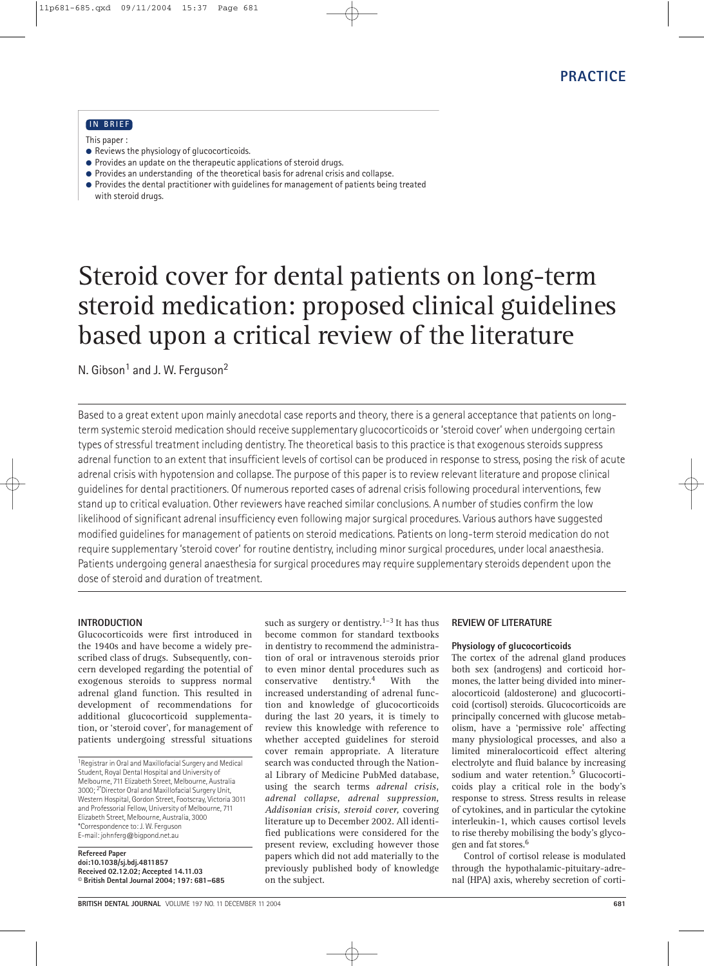# **IN BRIEF**

This paper :

- Reviews the physiology of glucocorticoids.
- $\bullet$  Provides an update on the therapeutic applications of steroid drugs.
- Provides an understanding of the theoretical basis for adrenal crisis and collapse.
- Provides the dental practitioner with guidelines for management of patients being treated with steroid drugs.

# Steroid cover for dental patients on long-term steroid medication: proposed clinical guidelines based upon a critical review of the literature

N. Gibson<sup>1</sup> and J. W. Ferguson<sup>2</sup>

Based to a great extent upon mainly anecdotal case reports and theory, there is a general acceptance that patients on longterm systemic steroid medication should receive supplementary glucocorticoids or 'steroid cover' when undergoing certain types of stressful treatment including dentistry. The theoretical basis to this practice is that exogenous steroids suppress adrenal function to an extent that insufficient levels of cortisol can be produced in response to stress, posing the risk of acute adrenal crisis with hypotension and collapse. The purpose of this paper is to review relevant literature and propose clinical guidelines for dental practitioners. Of numerous reported cases of adrenal crisis following procedural interventions, few stand up to critical evaluation. Other reviewers have reached similar conclusions. A number of studies confirm the low likelihood of significant adrenal insufficiency even following major surgical procedures. Various authors have suggested modified guidelines for management of patients on steroid medications. Patients on long-term steroid medication do not require supplementary 'steroid cover' for routine dentistry, including minor surgical procedures, under local anaesthesia. Patients undergoing general anaesthesia for surgical procedures may require supplementary steroids dependent upon the dose of steroid and duration of treatment.

## **INTRODUCTION**

Glucocorticoids were first introduced in the 1940s and have become a widely prescribed class of drugs. Subsequently, concern developed regarding the potential of exogenous steroids to suppress normal adrenal gland function. This resulted in development of recommendations for additional glucocorticoid supplementation, or 'steroid cover', for management of patients undergoing stressful situations

1Registrar in Oral and Maxillofacial Surgery and Medical Student, Royal Dental Hospital and University of Melbourne, 711 Elizabeth Street, Melbourne, Australia 3000; 2\*Director Oral and Maxillofacial Surgery Unit, Western Hospital, Gordon Street, Footscray, Victoria 3011 and Professorial Fellow, University of Melbourne, 711 Elizabeth Street, Melbourne, Australia, 3000 \*Correspondence to: J. W. Ferguson E-mail: johnferg@bigpond.net.au

**Refereed Paper doi:10.1038/sj.bdj.4811857 Received 02.12.02; Accepted 14.11.03 © British Dental Journal 2004; 197: 681–685**

such as surgery or dentistry.<sup>1–3</sup> It has thus become common for standard textbooks in dentistry to recommend the administration of oral or intravenous steroids prior to even minor dental procedures such as conservative dentistry.<sup>4</sup> With the increased understanding of adrenal function and knowledge of glucocorticoids during the last 20 years, it is timely to review this knowledge with reference to whether accepted guidelines for steroid cover remain appropriate. A literature search was conducted through the National Library of Medicine PubMed database, using the search terms *adrenal crisis, adrenal collapse, adrenal suppression, Addisonian crisis, steroid cover,* covering literature up to December 2002. All identified publications were considered for the present review, excluding however those papers which did not add materially to the previously published body of knowledge on the subject.

### **REVIEW OF LITERATURE**

### **Physiology of glucocorticoids**

The cortex of the adrenal gland produces both sex (androgens) and corticoid hormones, the latter being divided into mineralocorticoid (aldosterone) and glucocorticoid (cortisol) steroids. Glucocorticoids are principally concerned with glucose metabolism, have a 'permissive role' affecting many physiological processes, and also a limited mineralocorticoid effect altering electrolyte and fluid balance by increasing sodium and water retention.<sup>5</sup> Glucocorticoids play a critical role in the body's response to stress. Stress results in release of cytokines, and in particular the cytokine interleukin-1, which causes cortisol levels to rise thereby mobilising the body's glycogen and fat stores.6

Control of cortisol release is modulated through the hypothalamic-pituitary-adrenal (HPA) axis, whereby secretion of corti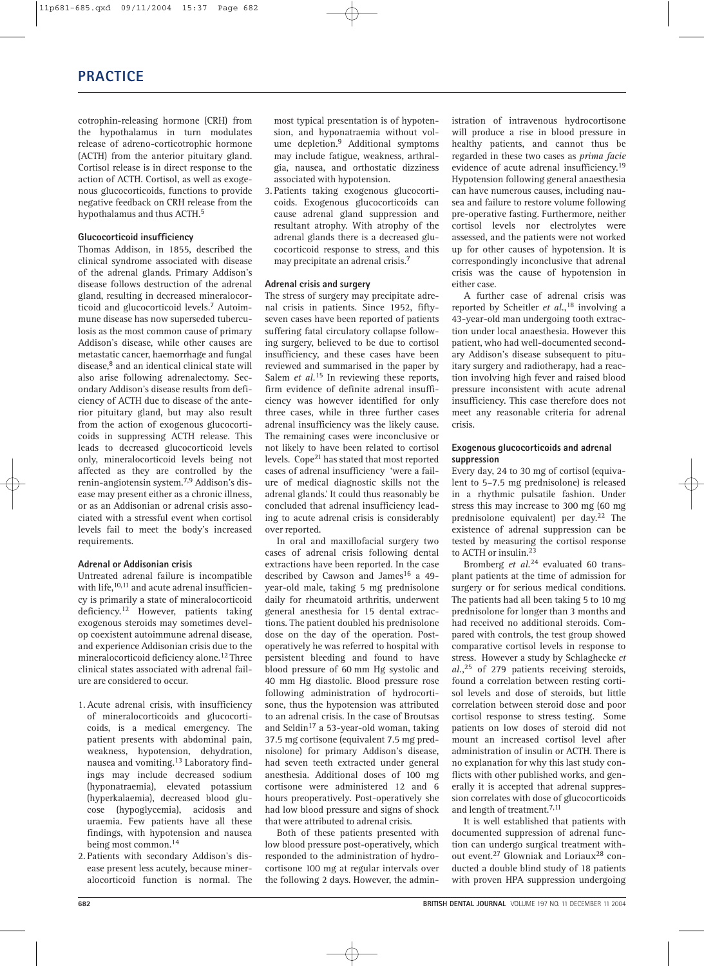cotrophin-releasing hormone (CRH) from the hypothalamus in turn modulates release of adreno-corticotrophic hormone (ACTH) from the anterior pituitary gland. Cortisol release is in direct response to the action of ACTH. Cortisol, as well as exogenous glucocorticoids, functions to provide negative feedback on CRH release from the hypothalamus and thus ACTH.<sup>5</sup>

# **Glucocorticoid insufficiency**

Thomas Addison, in 1855, described the clinical syndrome associated with disease of the adrenal glands. Primary Addison's disease follows destruction of the adrenal gland, resulting in decreased mineralocorticoid and glucocorticoid levels.7 Autoimmune disease has now superseded tuberculosis as the most common cause of primary Addison's disease, while other causes are metastatic cancer, haemorrhage and fungal disease,<sup>8</sup> and an identical clinical state will also arise following adrenalectomy. Secondary Addison's disease results from deficiency of ACTH due to disease of the anterior pituitary gland, but may also result from the action of exogenous glucocorticoids in suppressing ACTH release. This leads to decreased glucocorticoid levels only, mineralocorticoid levels being not affected as they are controlled by the renin-angiotensin system.7,9 Addison's disease may present either as a chronic illness, or as an Addisonian or adrenal crisis associated with a stressful event when cortisol levels fail to meet the body's increased requirements.

## **Adrenal or Addisonian crisis**

Untreated adrenal failure is incompatible with life,  $^{10,11}$  and acute adrenal insufficiency is primarily a state of mineralocorticoid deficiency.<sup>12</sup> However, patients taking exogenous steroids may sometimes develop coexistent autoimmune adrenal disease, and experience Addisonian crisis due to the mineralocorticoid deficiency alone.12 Three clinical states associated with adrenal failure are considered to occur.

- 1. Acute adrenal crisis, with insufficiency of mineralocorticoids and glucocorticoids, is a medical emergency. The patient presents with abdominal pain, weakness, hypotension, dehydration, nausea and vomiting.<sup>13</sup> Laboratory findings may include decreased sodium (hyponatraemia), elevated potassium (hyperkalaemia), decreased blood glucose (hypoglycemia), acidosis and uraemia. Few patients have all these findings, with hypotension and nausea being most common.14
- 2. Patients with secondary Addison's disease present less acutely, because mineralocorticoid function is normal. The

most typical presentation is of hypotension, and hyponatraemia without volume depletion.9 Additional symptoms may include fatigue, weakness, arthralgia, nausea, and orthostatic dizziness associated with hypotension.

3. Patients taking exogenous glucocorticoids. Exogenous glucocorticoids can cause adrenal gland suppression and resultant atrophy. With atrophy of the adrenal glands there is a decreased glucocorticoid response to stress, and this may precipitate an adrenal crisis.<sup>7</sup>

### **Adrenal crisis and surgery**

The stress of surgery may precipitate adrenal crisis in patients. Since 1952, fiftyseven cases have been reported of patients suffering fatal circulatory collapse following surgery, believed to be due to cortisol insufficiency, and these cases have been reviewed and summarised in the paper by Salem *et al.*<sup>15</sup> In reviewing these reports, firm evidence of definite adrenal insufficiency was however identified for only three cases, while in three further cases adrenal insufficiency was the likely cause. The remaining cases were inconclusive or not likely to have been related to cortisol levels. Cope<sup>21</sup> has stated that most reported cases of adrenal insufficiency 'were a failure of medical diagnostic skills not the adrenal glands.' It could thus reasonably be concluded that adrenal insufficiency leading to acute adrenal crisis is considerably over reported.

In oral and maxillofacial surgery two cases of adrenal crisis following dental extractions have been reported. In the case described by Cawson and James<sup>16</sup> a 49year-old male, taking 5 mg prednisolone daily for rheumatoid arthritis, underwent general anesthesia for 15 dental extractions. The patient doubled his prednisolone dose on the day of the operation. Postoperatively he was referred to hospital with persistent bleeding and found to have blood pressure of 60 mm Hg systolic and 40 mm Hg diastolic. Blood pressure rose following administration of hydrocortisone, thus the hypotension was attributed to an adrenal crisis. In the case of Broutsas and Seldin<sup>17</sup> a 53-year-old woman, taking 37.5 mg cortisone (equivalent 7.5 mg prednisolone) for primary Addison's disease, had seven teeth extracted under general anesthesia. Additional doses of 100 mg cortisone were administered 12 and 6 hours preoperatively. Post-operatively she had low blood pressure and signs of shock that were attributed to adrenal crisis.

Both of these patients presented with low blood pressure post-operatively, which responded to the administration of hydrocortisone 100 mg at regular intervals over the following 2 days. However, the administration of intravenous hydrocortisone will produce a rise in blood pressure in healthy patients, and cannot thus be regarded in these two cases as *prima facie* evidence of acute adrenal insufficiency.19 Hypotension following general anaesthesia can have numerous causes, including nausea and failure to restore volume following pre-operative fasting. Furthermore, neither cortisol levels nor electrolytes were assessed, and the patients were not worked up for other causes of hypotension. It is correspondingly inconclusive that adrenal crisis was the cause of hypotension in either case.

A further case of adrenal crisis was reported by Scheitler *et al.*, <sup>18</sup> involving a 43-year-old man undergoing tooth extraction under local anaesthesia. However this patient, who had well-documented secondary Addison's disease subsequent to pituitary surgery and radiotherapy, had a reaction involving high fever and raised blood pressure inconsistent with acute adrenal insufficiency. This case therefore does not meet any reasonable criteria for adrenal crisis.

### **Exogenous glucocorticoids and adrenal suppression**

Every day, 24 to 30 mg of cortisol (equivalent to 5–7.5 mg prednisolone) is released in a rhythmic pulsatile fashion. Under stress this may increase to 300 mg (60 mg prednisolone equivalent) per day.22 The existence of adrenal suppression can be tested by measuring the cortisol response to ACTH or insulin.<sup>23</sup>

Bromberg *et al.*<sup>24</sup> evaluated 60 transplant patients at the time of admission for surgery or for serious medical conditions. The patients had all been taking 5 to 10 mg prednisolone for longer than 3 months and had received no additional steroids. Compared with controls, the test group showed comparative cortisol levels in response to stress. However a study by Schlaghecke *et al.*, <sup>25</sup> of 279 patients receiving steroids, found a correlation between resting cortisol levels and dose of steroids, but little correlation between steroid dose and poor cortisol response to stress testing. Some patients on low doses of steroid did not mount an increased cortisol level after administration of insulin or ACTH. There is no explanation for why this last study conflicts with other published works, and generally it is accepted that adrenal suppression correlates with dose of glucocorticoids and length of treatment.<sup>7,11</sup>

It is well established that patients with documented suppression of adrenal function can undergo surgical treatment without event.<sup>27</sup> Glowniak and Loriaux<sup>28</sup> conducted a double blind study of 18 patients with proven HPA suppression undergoing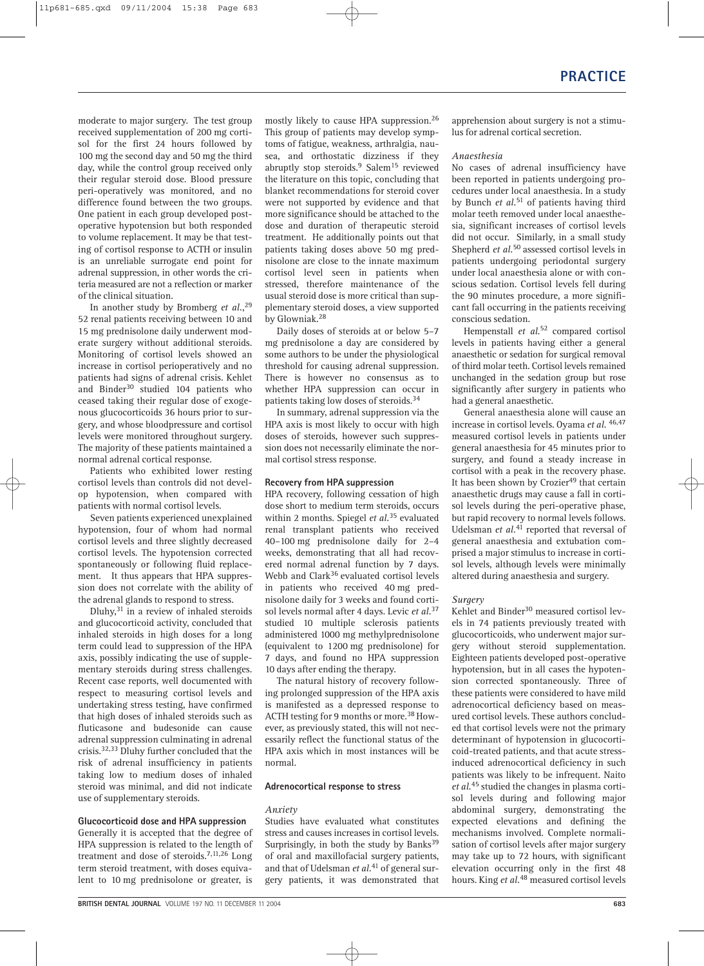moderate to major surgery. The test group received supplementation of 200 mg cortisol for the first 24 hours followed by 100 mg the second day and 50 mg the third day, while the control group received only their regular steroid dose. Blood pressure peri-operatively was monitored, and no difference found between the two groups. One patient in each group developed postoperative hypotension but both responded to volume replacement. It may be that testing of cortisol response to ACTH or insulin is an unreliable surrogate end point for adrenal suppression, in other words the criteria measured are not a reflection or marker of the clinical situation.

In another study by Bromberg *et al.*, 29 52 renal patients receiving between 10 and 15 mg prednisolone daily underwent moderate surgery without additional steroids. Monitoring of cortisol levels showed an increase in cortisol perioperatively and no patients had signs of adrenal crisis. Kehlet and Binder<sup>30</sup> studied 104 patients who ceased taking their regular dose of exogenous glucocorticoids 36 hours prior to surgery, and whose bloodpressure and cortisol levels were monitored throughout surgery. The majority of these patients maintained a normal adrenal cortical response.

Patients who exhibited lower resting cortisol levels than controls did not develop hypotension, when compared with patients with normal cortisol levels.

Seven patients experienced unexplained hypotension, four of whom had normal cortisol levels and three slightly decreased cortisol levels. The hypotension corrected spontaneously or following fluid replacement. It thus appears that HPA suppression does not correlate with the ability of the adrenal glands to respond to stress.

Dluhy, $31$  in a review of inhaled steroids and glucocorticoid activity, concluded that inhaled steroids in high doses for a long term could lead to suppression of the HPA axis, possibly indicating the use of supplementary steroids during stress challenges. Recent case reports, well documented with respect to measuring cortisol levels and undertaking stress testing, have confirmed that high doses of inhaled steroids such as fluticasone and budesonide can cause adrenal suppression culminating in adrenal crisis.32,33 Dluhy further concluded that the risk of adrenal insufficiency in patients taking low to medium doses of inhaled steroid was minimal, and did not indicate use of supplementary steroids.

#### **Glucocorticoid dose and HPA suppression**

Generally it is accepted that the degree of HPA suppression is related to the length of treatment and dose of steroids.7,11,26 Long term steroid treatment, with doses equivalent to 10 mg prednisolone or greater, is

mostly likely to cause HPA suppression.26 This group of patients may develop symptoms of fatigue, weakness, arthralgia, nausea, and orthostatic dizziness if they abruptly stop steroids.<sup>9</sup> Salem<sup>15</sup> reviewed the literature on this topic, concluding that blanket recommendations for steroid cover were not supported by evidence and that more significance should be attached to the dose and duration of therapeutic steroid treatment. He additionally points out that patients taking doses above 50 mg prednisolone are close to the innate maximum cortisol level seen in patients when stressed, therefore maintenance of the usual steroid dose is more critical than supplementary steroid doses, a view supported by Glowniak.<sup>28</sup>

Daily doses of steroids at or below 5–7 mg prednisolone a day are considered by some authors to be under the physiological threshold for causing adrenal suppression. There is however no consensus as to whether HPA suppression can occur in patients taking low doses of steroids.34

In summary, adrenal suppression via the HPA axis is most likely to occur with high doses of steroids, however such suppression does not necessarily eliminate the normal cortisol stress response.

#### **Recovery from HPA suppression**

HPA recovery, following cessation of high dose short to medium term steroids, occurs within 2 months. Spiegel *et al.*<sup>35</sup> evaluated renal transplant patients who received 40–100 mg prednisolone daily for 2–4 weeks, demonstrating that all had recovered normal adrenal function by 7 days. Webb and Clark<sup>36</sup> evaluated cortisol levels in patients who received 40 mg prednisolone daily for 3 weeks and found cortisol levels normal after 4 days. Levic *et al.*<sup>37</sup> studied 10 multiple sclerosis patients administered 1000 mg methylprednisolone (equivalent to 1200 mg prednisolone) for 7 days, and found no HPA suppression 10 days after ending the therapy.

The natural history of recovery following prolonged suppression of the HPA axis is manifested as a depressed response to ACTH testing for 9 months or more.38 However, as previously stated, this will not necessarily reflect the functional status of the HPA axis which in most instances will be normal.

#### **Adrenocortical response to stress**

#### *Anxiety*

Studies have evaluated what constitutes stress and causes increases in cortisol levels. Surprisingly, in both the study by Banks $39$ of oral and maxillofacial surgery patients, and that of Udelsman *et al.*<sup>41</sup> of general surgery patients, it was demonstrated that

#### *Anaesthesia*

No cases of adrenal insufficiency have been reported in patients undergoing procedures under local anaesthesia. In a study by Bunch *et al.*<sup>51</sup> of patients having third molar teeth removed under local anaesthesia, significant increases of cortisol levels did not occur. Similarly, in a small study Shepherd *et al.*<sup>50</sup> assessed cortisol levels in patients undergoing periodontal surgery under local anaesthesia alone or with conscious sedation. Cortisol levels fell during the 90 minutes procedure, a more significant fall occurring in the patients receiving conscious sedation.

Hempenstall *et al.*<sup>52</sup> compared cortisol levels in patients having either a general anaesthetic or sedation for surgical removal of third molar teeth. Cortisol levels remained unchanged in the sedation group but rose significantly after surgery in patients who had a general anaesthetic.

General anaesthesia alone will cause an increase in cortisol levels. Oyama *et al.* 46,47 measured cortisol levels in patients under general anaesthesia for 45 minutes prior to surgery, and found a steady increase in cortisol with a peak in the recovery phase. It has been shown by Crozier<sup>49</sup> that certain anaesthetic drugs may cause a fall in cortisol levels during the peri-operative phase, but rapid recovery to normal levels follows. Udelsman *et al.*<sup>41</sup> reported that reversal of general anaesthesia and extubation comprised a major stimulus to increase in cortisol levels, although levels were minimally altered during anaesthesia and surgery.

#### *Surgery*

Kehlet and Binder<sup>30</sup> measured cortisol levels in 74 patients previously treated with glucocorticoids, who underwent major surgery without steroid supplementation. Eighteen patients developed post-operative hypotension, but in all cases the hypotension corrected spontaneously. Three of these patients were considered to have mild adrenocortical deficiency based on measured cortisol levels. These authors concluded that cortisol levels were not the primary determinant of hypotension in glucocorticoid-treated patients, and that acute stressinduced adrenocortical deficiency in such patients was likely to be infrequent. Naito *et al.*<sup>45</sup> studied the changes in plasma cortisol levels during and following major abdominal surgery, demonstrating the expected elevations and defining the mechanisms involved. Complete normalisation of cortisol levels after major surgery may take up to 72 hours, with significant elevation occurring only in the first 48 hours. King *et al.*<sup>48</sup> measured cortisol levels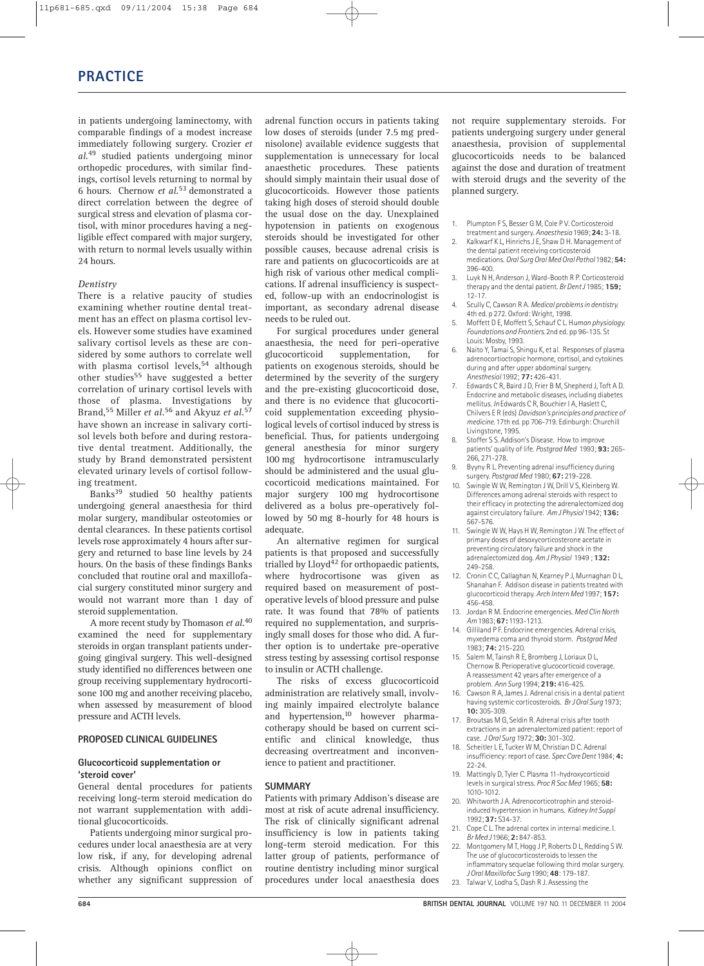in patients undergoing laminectomy, with comparable findings of a modest increase immediately following surgery. Crozier *et al.*<sup>49</sup> studied patients undergoing minor orthopedic procedures, with similar findings, cortisol levels returning to normal by 6 hours. Chernow *et al.*53 demonstrated a direct correlation between the degree of surgical stress and elevation of plasma cortisol, with minor procedures having a negligible effect compared with major surgery, with return to normal levels usually within 24 hours.

### *Dentistry*

There is a relative paucity of studies examining whether routine dental treatment has an effect on plasma cortisol levels. However some studies have examined salivary cortisol levels as these are considered by some authors to correlate well with plasma cortisol levels,<sup>54</sup> although other studies<sup>55</sup> have suggested a better correlation of urinary cortisol levels with those of plasma. Investigations by Brand,<sup>55</sup> Miller *et al.*<sup>56</sup> and Akyuz *et al.*<sup>57</sup> have shown an increase in salivary cortisol levels both before and during restorative dental treatment. Additionally, the study by Brand demonstrated persistent elevated urinary levels of cortisol following treatment.

Banks<sup>39</sup> studied 50 healthy patients undergoing general anaesthesia for third molar surgery, mandibular osteotomies or dental clearances. In these patients cortisol levels rose approximately 4 hours after surgery and returned to base line levels by 24 hours. On the basis of these findings Banks concluded that routine oral and maxillofacial surgery constituted minor surgery and would not warrant more than 1 day of steroid supplementation.

A more recent study by Thomason *et al.*<sup>40</sup> examined the need for supplementary steroids in organ transplant patients undergoing gingival surgery. This well-designed study identified no differences between one group receiving supplementary hydrocortisone 100 mg and another receiving placebo, when assessed by measurement of blood pressure and ACTH levels.

## **PROPOSED CLINICAL GUIDELINES**

#### **Glucocorticoid supplementation or 'steroid cover'**

General dental procedures for patients receiving long-term steroid medication do not warrant supplementation with additional glucocorticoids.

Patients undergoing minor surgical procedures under local anaesthesia are at very low risk, if any, for developing adrenal crisis. Although opinions conflict on whether any significant suppression of adrenal function occurs in patients taking low doses of steroids (under 7.5 mg prednisolone) available evidence suggests that supplementation is unnecessary for local anaesthetic procedures. These patients should simply maintain their usual dose of glucocorticoids. However those patients taking high doses of steroid should double the usual dose on the day. Unexplained hypotension in patients on exogenous steroids should be investigated for other possible causes, because adrenal crisis is rare and patients on glucocorticoids are at high risk of various other medical complications. If adrenal insufficiency is suspected, follow-up with an endocrinologist is important, as secondary adrenal disease needs to be ruled out.

For surgical procedures under general anaesthesia, the need for peri-operative glucocorticoid supplementation, for patients on exogenous steroids, should be determined by the severity of the surgery and the pre-existing glucocorticoid dose, and there is no evidence that glucocorticoid supplementation exceeding physiological levels of cortisol induced by stress is beneficial. Thus, for patients undergoing general anesthesia for minor surgery 100 mg hydrocortisone intramuscularly should be administered and the usual glucocorticoid medications maintained. For major surgery 100 mg hydrocortisone delivered as a bolus pre-operatively followed by 50 mg 8-hourly for 48 hours is adequate.

An alternative regimen for surgical patients is that proposed and successfully trialled by  $L\log d^{42}$  for orthopaedic patients, where hydrocortisone was given as required based on measurement of postoperative levels of blood pressure and pulse rate. It was found that 78% of patients required no supplementation, and surprisingly small doses for those who did. A further option is to undertake pre-operative stress testing by assessing cortisol response to insulin or ACTH challenge.

The risks of excess glucocorticoid administration are relatively small, involving mainly impaired electrolyte balance and hypertension,<sup>10</sup> however pharmacotherapy should be based on current scientific and clinical knowledge, thus decreasing overtreatment and inconvenience to patient and practitioner.

#### **SUMMARY**

Patients with primary Addison's disease are most at risk of acute adrenal insufficiency. The risk of clinically significant adrenal insufficiency is low in patients taking long-term steroid medication. For this latter group of patients, performance of routine dentistry including minor surgical procedures under local anaesthesia does

not require supplementary steroids. For patients undergoing surgery under general anaesthesia, provision of supplemental glucocorticoids needs to be balanced against the dose and duration of treatment with steroid drugs and the severity of the planned surgery.

1. Plumpton FS, Besser G.M. Cole P.V. Corticosteroid

- treatment and surgery. *Anaesthesia* 1969; **24:** 3-18. 2. Kalkwarf K L, Hinrichs J E, Shaw D H. Management of the dental patient receiving corticosteroid medications. *Oral Surg Oral Med Oral Pathol* 1982; **54:** 396-400.
- 3. Luyk N H, Anderson J, Ward-Booth R P. Corticosteroid therapy and the dental patient. *Br Dent J* 1985; **159;** 12-17.
- 4. Scully C, Cawson R A. *Medical problems in dentistry.* 4th ed. p 272. Oxford: Wright, 1998.
- 5. Moffett D E, Moffett S, Schauf C L. H*uman physiology. Foundations and Frontiers.* 2nd ed. pp 96-135. St Louis: Mosby, 1993.
- 6. Naito Y, Tamai S, Shingu K, et al. Responses of plasma adrenocortioctropic hormone, cortisol, and cytokines during and after upper abdominal surgery. *Anesthesiol* 1992; **77:** 426-431.
- 7. Edwards C R, Baird J D, Frier B M, Shepherd J, Toft A D. Endocrine and metabolic diseases, including diabetes mellitus. *In* Edwards C R, Bouchier I A, Haslett C, Chilvers E R (eds) *Davidson's principles and practice of medicine.* 17th ed. pp 706-719. Edinburgh: Churchill Livingstone, 1995.
- 8. Stoffer S S. Addison's Disease. How to improve patients' quality of life. *Postgrad Med* 1993; **93:** 265- 266, 271-278.
- 9. Byyny R L. Preventing adrenal insufficiency during surgery. *Postgrad Med* 1980; **67:** 219-228.
- 10. Swingle W W, Remington J W, Drill V S, Kleinberg W. Differences among adrenal steroids with respect to their efficacy in protecting the adrenalectomized dog against circulatory failure. *Am J Physiol* 1942; **136:** 567-576.
- 11. Swingle W W, Hays H W, Remington J W. The effect of primary doses of desoxycorticosterone acetate in preventing circulatory failure and shock in the adrenalectomized dog. *Am J Physiol* 1949 ; **132:**  249-258.
- 12. Cronin C C, Callaghan N, Kearney P J, Murnaghan D L, Shanahan F. Addison disease in patients treated with glucocorticoid therapy. *Arch Intern Med* 1997; **157:** 456-458.
- 13. Jordan R M. Endocrine emergencies. *Med Clin North Am* 1983; **67:** 1193-1213.
- 14. Gilliland P F. Endocrine emergencies. Adrenal crisis, myxedema coma and thyroid storm. *Postgrad Med* 1983; **74:** 215-220.
- Salem M, Tainsh R E, Bromberg J, Loriaux D L, Chernow B. Perioperative glucocorticoid coverage. A reassessment 42 years after emergence of a problem. *Ann Surg* 1994; **219:** 416-425.
- 16. Cawson R A, James J. Adrenal crisis in a dental patient having systemic corticosteroids. *Br J Oral Surg* 1973; **10:** 305-309.
- 17. Broutsas M G, Seldin R. Adrenal crisis after tooth extractions in an adrenalectomized patient: report of case. *J Oral Surg* 1972; **30:** 301-302.
- 18. Scheitler L E, Tucker W M, Christian D C. Adrenal insufficiency: report of case. *Spec Care Dent* 1984; **4:** 22-24.
- 19. Mattingly D, Tyler C. Plasma 11-hydroxycorticoid levels in surgical stress. *Proc R Soc Med* 1965; **58:** 1010-1012.
- 20. Whitworth J A. Adrenocorticotrophin and steroidinduced hypertension in humans. *Kidney Int Suppl* 1992; **37:** S34-37.
- 21. Cope C L. The adrenal cortex in internal medicine. I. *Br Med J* 1966; **2:** 847-853.
- 22. Montgomery M T, Hogg J P, Roberts D L, Redding S W. The use of glucocorticosteroids to lessen the inflammatory sequelae following third molar surgery. *J Oral Maxillofac Surg* 1990; **48**: 179-187. 23. Talwar V, Lodha S, Dash R J. Assessing the
-